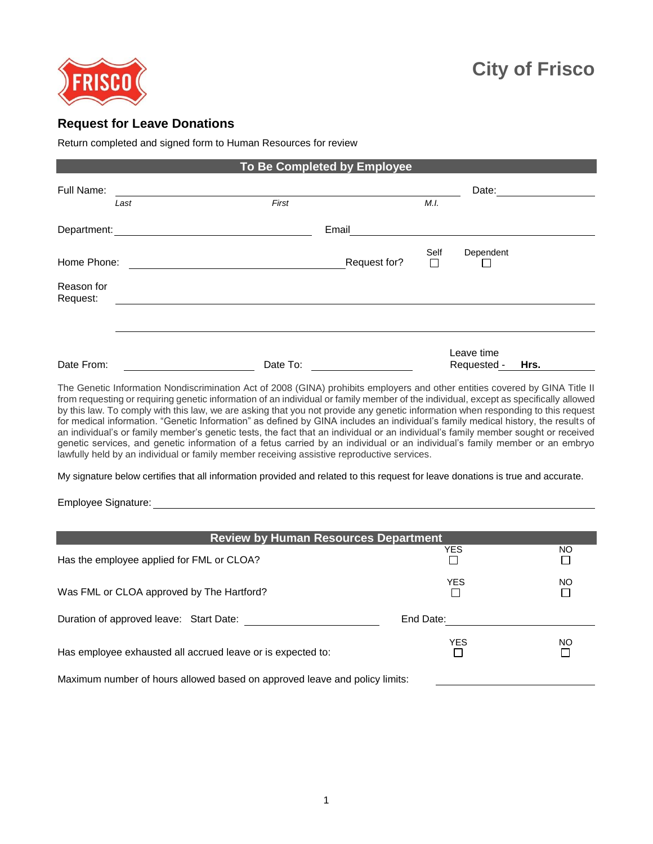

## **Request for Leave Donations**

Return completed and signed form to Human Resources for review

| To Be Completed by Employee |      |          |              |                |                           |      |  |
|-----------------------------|------|----------|--------------|----------------|---------------------------|------|--|
| Full Name:                  |      |          |              |                | Date:                     |      |  |
|                             | Last | First    |              | M.I.           |                           |      |  |
| Department:                 |      |          | Email        |                |                           |      |  |
| Home Phone:                 |      |          | Request for? | Self<br>$\Box$ | Dependent                 |      |  |
| Reason for<br>Request:      |      |          |              |                |                           |      |  |
|                             |      |          |              |                |                           |      |  |
| Date From:                  |      | Date To: |              |                | Leave time<br>Requested - | Hrs. |  |

The Genetic Information Nondiscrimination Act of 2008 (GINA) prohibits employers and other entities covered by GINA Title II from requesting or requiring genetic information of an individual or family member of the individual, except as specifically allowed by this law. To comply with this law, we are asking that you not provide any genetic information when responding to this request for medical information. "Genetic Information" as defined by GINA includes an individual's family medical history, the results of an individual's or family member's genetic tests, the fact that an individual or an individual's family member sought or received genetic services, and genetic information of a fetus carried by an individual or an individual's family member or an embryo lawfully held by an individual or family member receiving assistive reproductive services.

My signature below certifies that all information provided and related to this request for leave donations is true and accurate.

Employee Signature:

| <b>Review by Human Resources Department</b>                                |            |           |  |  |  |
|----------------------------------------------------------------------------|------------|-----------|--|--|--|
| Has the employee applied for FML or CLOA?                                  | <b>YES</b> | <b>NO</b> |  |  |  |
| Was FML or CLOA approved by The Hartford?                                  | <b>YES</b> | <b>NO</b> |  |  |  |
| Duration of approved leave: Start Date:                                    | End Date:  |           |  |  |  |
| Has employee exhausted all accrued leave or is expected to:                | <b>YES</b> | <b>NO</b> |  |  |  |
| Maximum number of hours allowed based on approved leave and policy limits: |            |           |  |  |  |